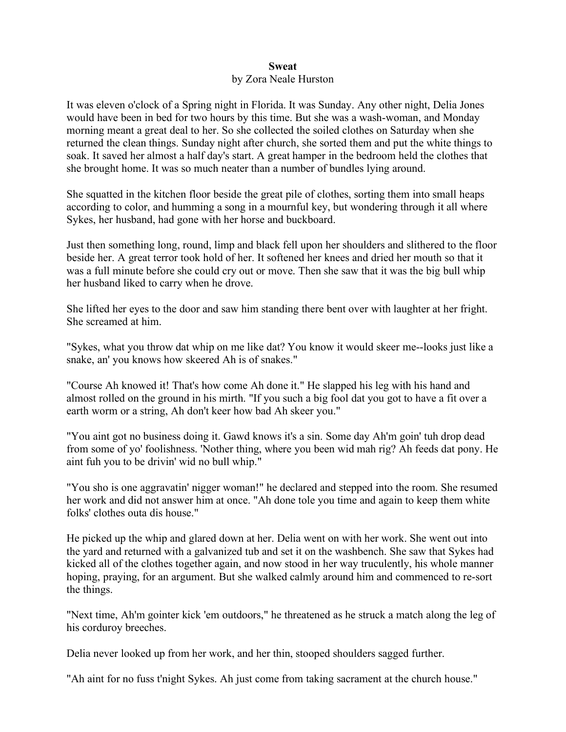## **Sweat** by Zora Neale Hurston

It was eleven o'clock of a Spring night in Florida. It was Sunday. Any other night, Delia Jones would have been in bed for two hours by this time. But she was a wash-woman, and Monday morning meant a great deal to her. So she collected the soiled clothes on Saturday when she returned the clean things. Sunday night after church, she sorted them and put the white things to soak. It saved her almost a half day's start. A great hamper in the bedroom held the clothes that she brought home. It was so much neater than a number of bundles lying around.

She squatted in the kitchen floor beside the great pile of clothes, sorting them into small heaps according to color, and humming a song in a mournful key, but wondering through it all where Sykes, her husband, had gone with her horse and buckboard.

Just then something long, round, limp and black fell upon her shoulders and slithered to the floor beside her. A great terror took hold of her. It softened her knees and dried her mouth so that it was a full minute before she could cry out or move. Then she saw that it was the big bull whip her husband liked to carry when he drove.

She lifted her eyes to the door and saw him standing there bent over with laughter at her fright. She screamed at him.

"Sykes, what you throw dat whip on me like dat? You know it would skeer me--looks just like a snake, an' you knows how skeered Ah is of snakes."

"Course Ah knowed it! That's how come Ah done it." He slapped his leg with his hand and almost rolled on the ground in his mirth. "If you such a big fool dat you got to have a fit over a earth worm or a string, Ah don't keer how bad Ah skeer you."

"You aint got no business doing it. Gawd knows it's a sin. Some day Ah'm goin' tuh drop dead from some of yo' foolishness. 'Nother thing, where you been wid mah rig? Ah feeds dat pony. He aint fuh you to be drivin' wid no bull whip."

"You sho is one aggravatin' nigger woman!" he declared and stepped into the room. She resumed her work and did not answer him at once. "Ah done tole you time and again to keep them white folks' clothes outa dis house."

He picked up the whip and glared down at her. Delia went on with her work. She went out into the yard and returned with a galvanized tub and set it on the washbench. She saw that Sykes had kicked all of the clothes together again, and now stood in her way truculently, his whole manner hoping, praying, for an argument. But she walked calmly around him and commenced to re-sort the things.

"Next time, Ah'm gointer kick 'em outdoors," he threatened as he struck a match along the leg of his corduroy breeches.

Delia never looked up from her work, and her thin, stooped shoulders sagged further.

"Ah aint for no fuss t'night Sykes. Ah just come from taking sacrament at the church house."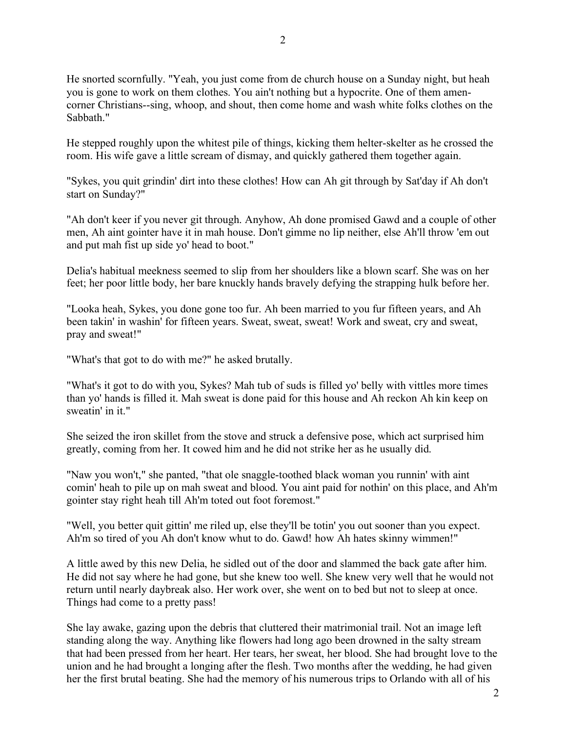He snorted scornfully. "Yeah, you just come from de church house on a Sunday night, but heah you is gone to work on them clothes. You ain't nothing but a hypocrite. One of them amencorner Christians--sing, whoop, and shout, then come home and wash white folks clothes on the Sabbath."

He stepped roughly upon the whitest pile of things, kicking them helter-skelter as he crossed the room. His wife gave a little scream of dismay, and quickly gathered them together again.

"Sykes, you quit grindin' dirt into these clothes! How can Ah git through by Sat'day if Ah don't start on Sunday?"

"Ah don't keer if you never git through. Anyhow, Ah done promised Gawd and a couple of other men, Ah aint gointer have it in mah house. Don't gimme no lip neither, else Ah'll throw 'em out and put mah fist up side yo' head to boot."

Delia's habitual meekness seemed to slip from her shoulders like a blown scarf. She was on her feet; her poor little body, her bare knuckly hands bravely defying the strapping hulk before her.

"Looka heah, Sykes, you done gone too fur. Ah been married to you fur fifteen years, and Ah been takin' in washin' for fifteen years. Sweat, sweat, sweat! Work and sweat, cry and sweat, pray and sweat!"

"What's that got to do with me?" he asked brutally.

"What's it got to do with you, Sykes? Mah tub of suds is filled yo' belly with vittles more times than yo' hands is filled it. Mah sweat is done paid for this house and Ah reckon Ah kin keep on sweatin' in it."

She seized the iron skillet from the stove and struck a defensive pose, which act surprised him greatly, coming from her. It cowed him and he did not strike her as he usually did.

"Naw you won't," she panted, "that ole snaggle-toothed black woman you runnin' with aint comin' heah to pile up on mah sweat and blood. You aint paid for nothin' on this place, and Ah'm gointer stay right heah till Ah'm toted out foot foremost."

"Well, you better quit gittin' me riled up, else they'll be totin' you out sooner than you expect. Ah'm so tired of you Ah don't know whut to do. Gawd! how Ah hates skinny wimmen!"

A little awed by this new Delia, he sidled out of the door and slammed the back gate after him. He did not say where he had gone, but she knew too well. She knew very well that he would not return until nearly daybreak also. Her work over, she went on to bed but not to sleep at once. Things had come to a pretty pass!

She lay awake, gazing upon the debris that cluttered their matrimonial trail. Not an image left standing along the way. Anything like flowers had long ago been drowned in the salty stream that had been pressed from her heart. Her tears, her sweat, her blood. She had brought love to the union and he had brought a longing after the flesh. Two months after the wedding, he had given her the first brutal beating. She had the memory of his numerous trips to Orlando with all of his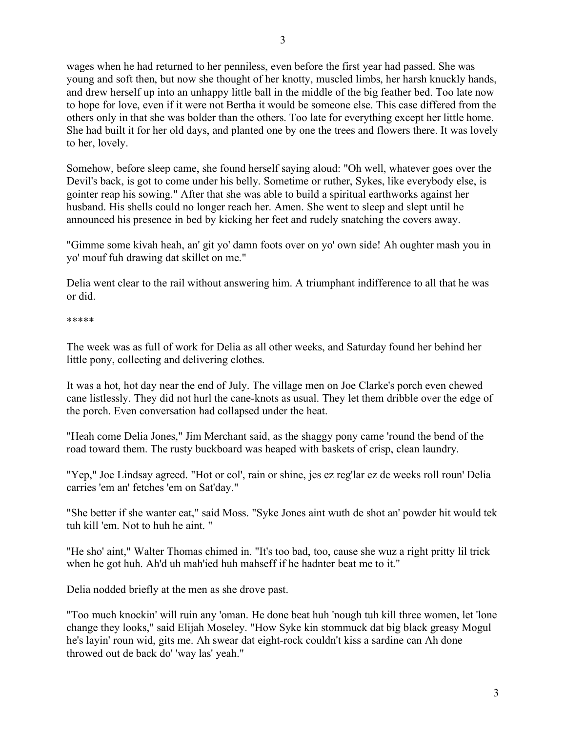3

wages when he had returned to her penniless, even before the first year had passed. She was young and soft then, but now she thought of her knotty, muscled limbs, her harsh knuckly hands, and drew herself up into an unhappy little ball in the middle of the big feather bed. Too late now to hope for love, even if it were not Bertha it would be someone else. This case differed from the others only in that she was bolder than the others. Too late for everything except her little home. She had built it for her old days, and planted one by one the trees and flowers there. It was lovely to her, lovely.

Somehow, before sleep came, she found herself saying aloud: "Oh well, whatever goes over the Devil's back, is got to come under his belly. Sometime or ruther, Sykes, like everybody else, is gointer reap his sowing." After that she was able to build a spiritual earthworks against her husband. His shells could no longer reach her. Amen. She went to sleep and slept until he announced his presence in bed by kicking her feet and rudely snatching the covers away.

"Gimme some kivah heah, an' git yo' damn foots over on yo' own side! Ah oughter mash you in yo' mouf fuh drawing dat skillet on me."

Delia went clear to the rail without answering him. A triumphant indifference to all that he was or did.

## \*\*\*\*\*

The week was as full of work for Delia as all other weeks, and Saturday found her behind her little pony, collecting and delivering clothes.

It was a hot, hot day near the end of July. The village men on Joe Clarke's porch even chewed cane listlessly. They did not hurl the cane-knots as usual. They let them dribble over the edge of the porch. Even conversation had collapsed under the heat.

"Heah come Delia Jones," Jim Merchant said, as the shaggy pony came 'round the bend of the road toward them. The rusty buckboard was heaped with baskets of crisp, clean laundry.

"Yep," Joe Lindsay agreed. "Hot or col', rain or shine, jes ez reg'lar ez de weeks roll roun' Delia carries 'em an' fetches 'em on Sat'day."

"She better if she wanter eat," said Moss. "Syke Jones aint wuth de shot an' powder hit would tek tuh kill 'em. Not to huh he aint. "

"He sho' aint," Walter Thomas chimed in. "It's too bad, too, cause she wuz a right pritty lil trick when he got huh. Ah'd uh mah'ied huh mahseff if he hadnter beat me to it."

Delia nodded briefly at the men as she drove past.

"Too much knockin' will ruin any 'oman. He done beat huh 'nough tuh kill three women, let 'lone change they looks," said Elijah Moseley. "How Syke kin stommuck dat big black greasy Mogul he's layin' roun wid, gits me. Ah swear dat eight-rock couldn't kiss a sardine can Ah done throwed out de back do' 'way las' yeah."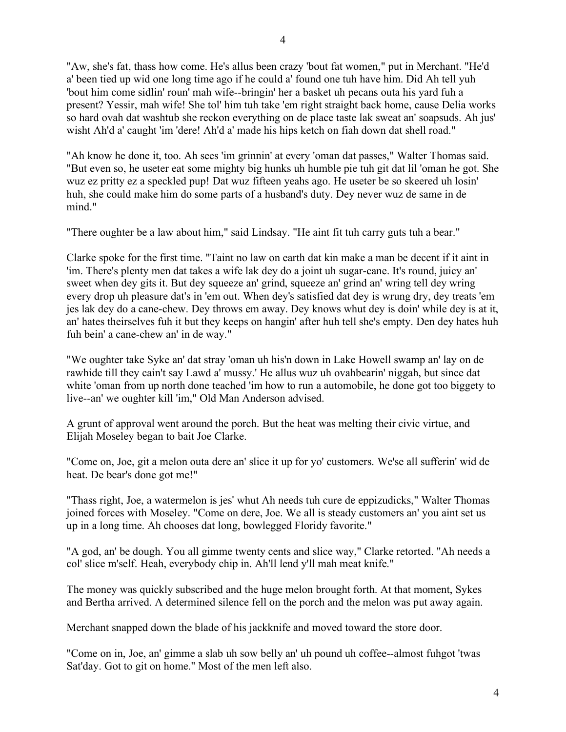"Aw, she's fat, thass how come. He's allus been crazy 'bout fat women," put in Merchant. "He'd a' been tied up wid one long time ago if he could a' found one tuh have him. Did Ah tell yuh 'bout him come sidlin' roun' mah wife--bringin' her a basket uh pecans outa his yard fuh a present? Yessir, mah wife! She tol' him tuh take 'em right straight back home, cause Delia works so hard ovah dat washtub she reckon everything on de place taste lak sweat an' soapsuds. Ah jus' wisht Ah'd a' caught 'im 'dere! Ah'd a' made his hips ketch on fiah down dat shell road."

"Ah know he done it, too. Ah sees 'im grinnin' at every 'oman dat passes," Walter Thomas said. "But even so, he useter eat some mighty big hunks uh humble pie tuh git dat lil 'oman he got. She wuz ez pritty ez a speckled pup! Dat wuz fifteen yeahs ago. He useter be so skeered uh losin' huh, she could make him do some parts of a husband's duty. Dey never wuz de same in de mind."

"There oughter be a law about him," said Lindsay. "He aint fit tuh carry guts tuh a bear."

Clarke spoke for the first time. "Taint no law on earth dat kin make a man be decent if it aint in 'im. There's plenty men dat takes a wife lak dey do a joint uh sugar-cane. It's round, juicy an' sweet when dey gits it. But dey squeeze an' grind, squeeze an' grind an' wring tell dey wring every drop uh pleasure dat's in 'em out. When dey's satisfied dat dey is wrung dry, dey treats 'em jes lak dey do a cane-chew. Dey throws em away. Dey knows whut dey is doin' while dey is at it, an' hates theirselves fuh it but they keeps on hangin' after huh tell she's empty. Den dey hates huh fuh bein' a cane-chew an' in de way."

"We oughter take Syke an' dat stray 'oman uh his'n down in Lake Howell swamp an' lay on de rawhide till they cain't say Lawd a' mussy.' He allus wuz uh ovahbearin' niggah, but since dat white 'oman from up north done teached 'im how to run a automobile, he done got too biggety to live--an' we oughter kill 'im," Old Man Anderson advised.

A grunt of approval went around the porch. But the heat was melting their civic virtue, and Elijah Moseley began to bait Joe Clarke.

"Come on, Joe, git a melon outa dere an' slice it up for yo' customers. We'se all sufferin' wid de heat. De bear's done got me!"

"Thass right, Joe, a watermelon is jes' whut Ah needs tuh cure de eppizudicks," Walter Thomas joined forces with Moseley. "Come on dere, Joe. We all is steady customers an' you aint set us up in a long time. Ah chooses dat long, bowlegged Floridy favorite."

"A god, an' be dough. You all gimme twenty cents and slice way," Clarke retorted. "Ah needs a col' slice m'self. Heah, everybody chip in. Ah'll lend y'll mah meat knife."

The money was quickly subscribed and the huge melon brought forth. At that moment, Sykes and Bertha arrived. A determined silence fell on the porch and the melon was put away again.

Merchant snapped down the blade of his jackknife and moved toward the store door.

"Come on in, Joe, an' gimme a slab uh sow belly an' uh pound uh coffee--almost fuhgot 'twas Sat'day. Got to git on home." Most of the men left also.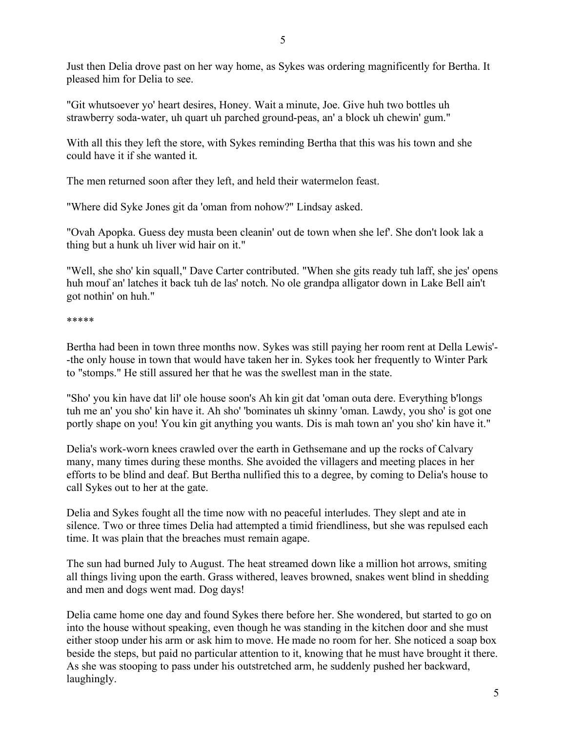Just then Delia drove past on her way home, as Sykes was ordering magnificently for Bertha. It pleased him for Delia to see.

"Git whutsoever yo' heart desires, Honey. Wait a minute, Joe. Give huh two bottles uh strawberry soda-water, uh quart uh parched ground-peas, an' a block uh chewin' gum."

With all this they left the store, with Sykes reminding Bertha that this was his town and she could have it if she wanted it.

The men returned soon after they left, and held their watermelon feast.

"Where did Syke Jones git da 'oman from nohow?" Lindsay asked.

"Ovah Apopka. Guess dey musta been cleanin' out de town when she lef'. She don't look lak a thing but a hunk uh liver wid hair on it."

"Well, she sho' kin squall," Dave Carter contributed. "When she gits ready tuh laff, she jes' opens huh mouf an' latches it back tuh de las' notch. No ole grandpa alligator down in Lake Bell ain't got nothin' on huh."

\*\*\*\*\*

Bertha had been in town three months now. Sykes was still paying her room rent at Della Lewis'- -the only house in town that would have taken her in. Sykes took her frequently to Winter Park to "stomps." He still assured her that he was the swellest man in the state.

"Sho' you kin have dat lil' ole house soon's Ah kin git dat 'oman outa dere. Everything b'longs tuh me an' you sho' kin have it. Ah sho' 'bominates uh skinny 'oman. Lawdy, you sho' is got one portly shape on you! You kin git anything you wants. Dis is mah town an' you sho' kin have it."

Delia's work-worn knees crawled over the earth in Gethsemane and up the rocks of Calvary many, many times during these months. She avoided the villagers and meeting places in her efforts to be blind and deaf. But Bertha nullified this to a degree, by coming to Delia's house to call Sykes out to her at the gate.

Delia and Sykes fought all the time now with no peaceful interludes. They slept and ate in silence. Two or three times Delia had attempted a timid friendliness, but she was repulsed each time. It was plain that the breaches must remain agape.

The sun had burned July to August. The heat streamed down like a million hot arrows, smiting all things living upon the earth. Grass withered, leaves browned, snakes went blind in shedding and men and dogs went mad. Dog days!

Delia came home one day and found Sykes there before her. She wondered, but started to go on into the house without speaking, even though he was standing in the kitchen door and she must either stoop under his arm or ask him to move. He made no room for her. She noticed a soap box beside the steps, but paid no particular attention to it, knowing that he must have brought it there. As she was stooping to pass under his outstretched arm, he suddenly pushed her backward, laughingly.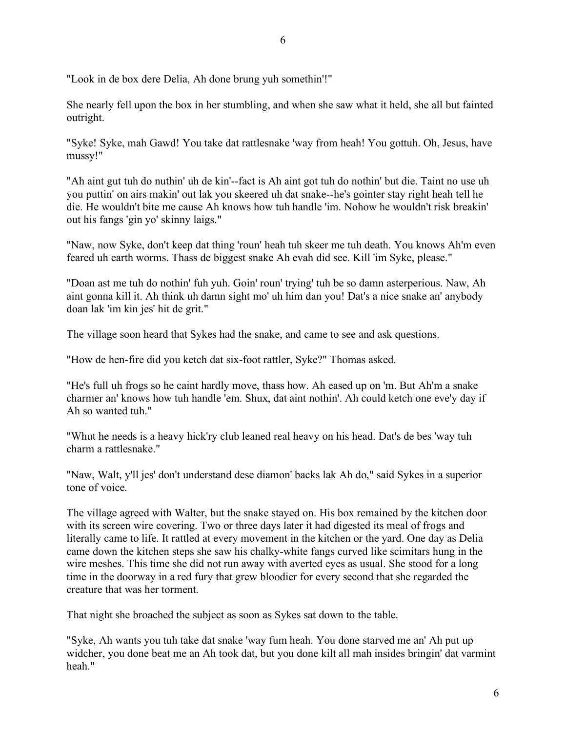"Look in de box dere Delia, Ah done brung yuh somethin'!"

She nearly fell upon the box in her stumbling, and when she saw what it held, she all but fainted outright.

6

"Syke! Syke, mah Gawd! You take dat rattlesnake 'way from heah! You gottuh. Oh, Jesus, have mussy!"

"Ah aint gut tuh do nuthin' uh de kin'--fact is Ah aint got tuh do nothin' but die. Taint no use uh you puttin' on airs makin' out lak you skeered uh dat snake--he's gointer stay right heah tell he die. He wouldn't bite me cause Ah knows how tuh handle 'im. Nohow he wouldn't risk breakin' out his fangs 'gin yo' skinny laigs."

"Naw, now Syke, don't keep dat thing 'roun' heah tuh skeer me tuh death. You knows Ah'm even feared uh earth worms. Thass de biggest snake Ah evah did see. Kill 'im Syke, please."

"Doan ast me tuh do nothin' fuh yuh. Goin' roun' trying' tuh be so damn asterperious. Naw, Ah aint gonna kill it. Ah think uh damn sight mo' uh him dan you! Dat's a nice snake an' anybody doan lak 'im kin jes' hit de grit."

The village soon heard that Sykes had the snake, and came to see and ask questions.

"How de hen-fire did you ketch dat six-foot rattler, Syke?" Thomas asked.

"He's full uh frogs so he caint hardly move, thass how. Ah eased up on 'm. But Ah'm a snake charmer an' knows how tuh handle 'em. Shux, dat aint nothin'. Ah could ketch one eve'y day if Ah so wanted tuh."

"Whut he needs is a heavy hick'ry club leaned real heavy on his head. Dat's de bes 'way tuh charm a rattlesnake."

"Naw, Walt, y'll jes' don't understand dese diamon' backs lak Ah do," said Sykes in a superior tone of voice.

The village agreed with Walter, but the snake stayed on. His box remained by the kitchen door with its screen wire covering. Two or three days later it had digested its meal of frogs and literally came to life. It rattled at every movement in the kitchen or the yard. One day as Delia came down the kitchen steps she saw his chalky-white fangs curved like scimitars hung in the wire meshes. This time she did not run away with averted eyes as usual. She stood for a long time in the doorway in a red fury that grew bloodier for every second that she regarded the creature that was her torment.

That night she broached the subject as soon as Sykes sat down to the table.

"Syke, Ah wants you tuh take dat snake 'way fum heah. You done starved me an' Ah put up widcher, you done beat me an Ah took dat, but you done kilt all mah insides bringin' dat varmint heah."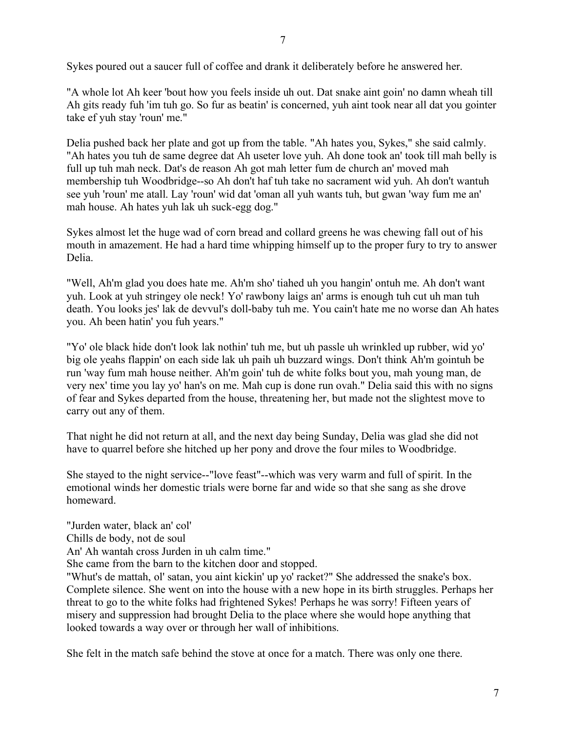Sykes poured out a saucer full of coffee and drank it deliberately before he answered her.

"A whole lot Ah keer 'bout how you feels inside uh out. Dat snake aint goin' no damn wheah till Ah gits ready fuh 'im tuh go. So fur as beatin' is concerned, yuh aint took near all dat you gointer take ef yuh stay 'roun' me."

Delia pushed back her plate and got up from the table. "Ah hates you, Sykes," she said calmly. "Ah hates you tuh de same degree dat Ah useter love yuh. Ah done took an' took till mah belly is full up tuh mah neck. Dat's de reason Ah got mah letter fum de church an' moved mah membership tuh Woodbridge--so Ah don't haf tuh take no sacrament wid yuh. Ah don't wantuh see yuh 'roun' me atall. Lay 'roun' wid dat 'oman all yuh wants tuh, but gwan 'way fum me an' mah house. Ah hates yuh lak uh suck-egg dog."

Sykes almost let the huge wad of corn bread and collard greens he was chewing fall out of his mouth in amazement. He had a hard time whipping himself up to the proper fury to try to answer Delia.

"Well, Ah'm glad you does hate me. Ah'm sho' tiahed uh you hangin' ontuh me. Ah don't want yuh. Look at yuh stringey ole neck! Yo' rawbony laigs an' arms is enough tuh cut uh man tuh death. You looks jes' lak de devvul's doll-baby tuh me. You cain't hate me no worse dan Ah hates you. Ah been hatin' you fuh years."

"Yo' ole black hide don't look lak nothin' tuh me, but uh passle uh wrinkled up rubber, wid yo' big ole yeahs flappin' on each side lak uh paih uh buzzard wings. Don't think Ah'm gointuh be run 'way fum mah house neither. Ah'm goin' tuh de white folks bout you, mah young man, de very nex' time you lay yo' han's on me. Mah cup is done run ovah." Delia said this with no signs of fear and Sykes departed from the house, threatening her, but made not the slightest move to carry out any of them.

That night he did not return at all, and the next day being Sunday, Delia was glad she did not have to quarrel before she hitched up her pony and drove the four miles to Woodbridge.

She stayed to the night service--"love feast"--which was very warm and full of spirit. In the emotional winds her domestic trials were borne far and wide so that she sang as she drove homeward.

"Jurden water, black an' col'

Chills de body, not de soul

An' Ah wantah cross Jurden in uh calm time."

She came from the barn to the kitchen door and stopped.

"Whut's de mattah, ol' satan, you aint kickin' up yo' racket?" She addressed the snake's box. Complete silence. She went on into the house with a new hope in its birth struggles. Perhaps her threat to go to the white folks had frightened Sykes! Perhaps he was sorry! Fifteen years of misery and suppression had brought Delia to the place where she would hope anything that looked towards a way over or through her wall of inhibitions.

She felt in the match safe behind the stove at once for a match. There was only one there.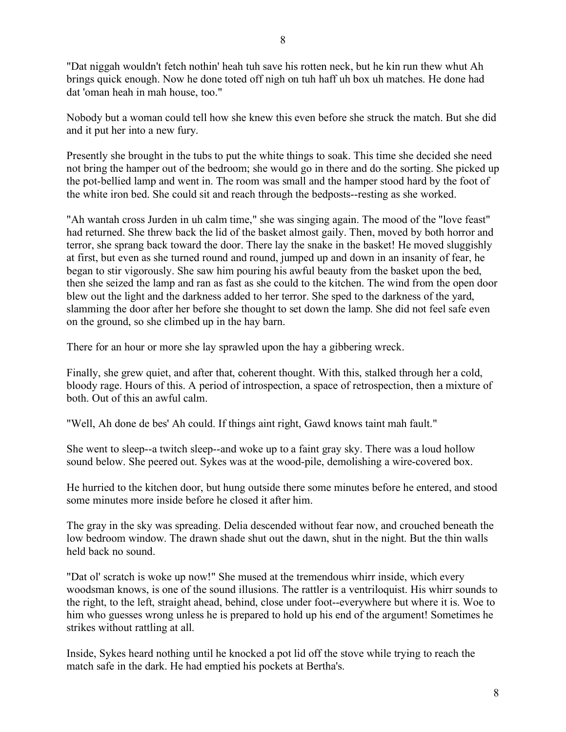"Dat niggah wouldn't fetch nothin' heah tuh save his rotten neck, but he kin run thew whut Ah brings quick enough. Now he done toted off nigh on tuh haff uh box uh matches. He done had dat 'oman heah in mah house, too."

Nobody but a woman could tell how she knew this even before she struck the match. But she did and it put her into a new fury.

Presently she brought in the tubs to put the white things to soak. This time she decided she need not bring the hamper out of the bedroom; she would go in there and do the sorting. She picked up the pot-bellied lamp and went in. The room was small and the hamper stood hard by the foot of the white iron bed. She could sit and reach through the bedposts--resting as she worked.

"Ah wantah cross Jurden in uh calm time," she was singing again. The mood of the "love feast" had returned. She threw back the lid of the basket almost gaily. Then, moved by both horror and terror, she sprang back toward the door. There lay the snake in the basket! He moved sluggishly at first, but even as she turned round and round, jumped up and down in an insanity of fear, he began to stir vigorously. She saw him pouring his awful beauty from the basket upon the bed, then she seized the lamp and ran as fast as she could to the kitchen. The wind from the open door blew out the light and the darkness added to her terror. She sped to the darkness of the yard, slamming the door after her before she thought to set down the lamp. She did not feel safe even on the ground, so she climbed up in the hay barn.

There for an hour or more she lay sprawled upon the hay a gibbering wreck.

Finally, she grew quiet, and after that, coherent thought. With this, stalked through her a cold, bloody rage. Hours of this. A period of introspection, a space of retrospection, then a mixture of both. Out of this an awful calm.

"Well, Ah done de bes' Ah could. If things aint right, Gawd knows taint mah fault."

She went to sleep--a twitch sleep--and woke up to a faint gray sky. There was a loud hollow sound below. She peered out. Sykes was at the wood-pile, demolishing a wire-covered box.

He hurried to the kitchen door, but hung outside there some minutes before he entered, and stood some minutes more inside before he closed it after him.

The gray in the sky was spreading. Delia descended without fear now, and crouched beneath the low bedroom window. The drawn shade shut out the dawn, shut in the night. But the thin walls held back no sound.

"Dat ol' scratch is woke up now!" She mused at the tremendous whirr inside, which every woodsman knows, is one of the sound illusions. The rattler is a ventriloquist. His whirr sounds to the right, to the left, straight ahead, behind, close under foot--everywhere but where it is. Woe to him who guesses wrong unless he is prepared to hold up his end of the argument! Sometimes he strikes without rattling at all.

Inside, Sykes heard nothing until he knocked a pot lid off the stove while trying to reach the match safe in the dark. He had emptied his pockets at Bertha's.